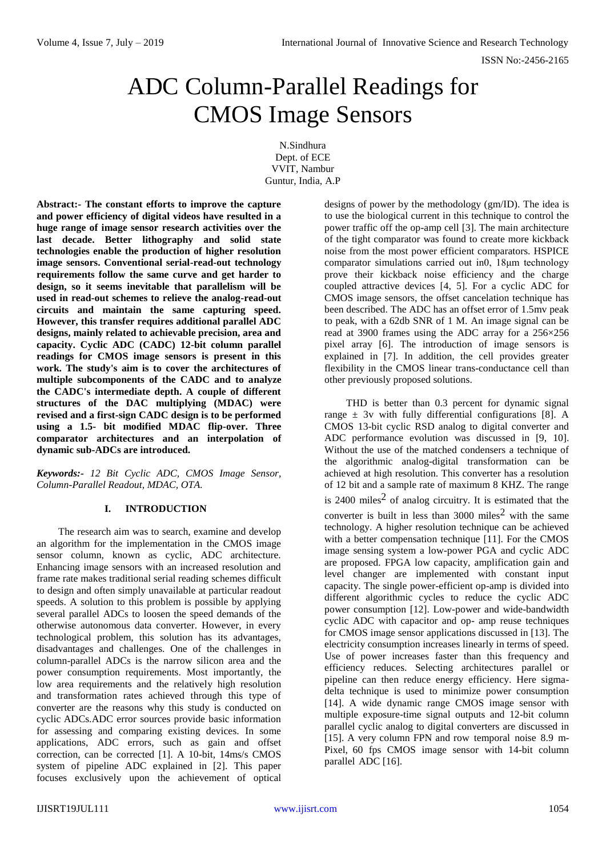ISSN No:-2456-2165

# ADC Column-Parallel Readings for CMOS Image Sensors

N.Sindhura Dept. of ECE VVIT, Nambur Guntur, India, A.P

**Abstract:- The constant efforts to improve the capture and power efficiency of digital videos have resulted in a huge range of image sensor research activities over the last decade. Better lithography and solid state technologies enable the production of higher resolution image sensors. Conventional serial-read-out technology requirements follow the same curve and get harder to design, so it seems inevitable that parallelism will be used in read-out schemes to relieve the analog-read-out circuits and maintain the same capturing speed. However, this transfer requires additional parallel ADC designs, mainly related to achievable precision, area and capacity. Cyclic ADC (CADC) 12-bit column parallel readings for CMOS image sensors is present in this work. The study's aim is to cover the architectures of multiple subcomponents of the CADC and to analyze the CADC's intermediate depth. A couple of different structures of the DAC multiplying (MDAC) were revised and a first-sign CADC design is to be performed using a 1.5- bit modified MDAC flip-over. Three comparator architectures and an interpolation of dynamic sub-ADCs are introduced.**

*Keywords:- 12 Bit Cyclic ADC, CMOS Image Sensor, Column-Parallel Readout, MDAC, OTA.*

# **I. INTRODUCTION**

The research aim was to search, examine and develop an algorithm for the implementation in the CMOS image sensor column, known as cyclic, ADC architecture. Enhancing image sensors with an increased resolution and frame rate makes traditional serial reading schemes difficult to design and often simply unavailable at particular readout speeds. A solution to this problem is possible by applying several parallel ADCs to loosen the speed demands of the otherwise autonomous data converter. However, in every technological problem, this solution has its advantages, disadvantages and challenges. One of the challenges in column-parallel ADCs is the narrow silicon area and the power consumption requirements. Most importantly, the low area requirements and the relatively high resolution and transformation rates achieved through this type of converter are the reasons why this study is conducted on cyclic ADCs.ADC error sources provide basic information for assessing and comparing existing devices. In some applications, ADC errors, such as gain and offset correction, can be corrected [1]. A 10-bit, 14ms/s CMOS system of pipeline ADC explained in [2]. This paper focuses exclusively upon the achievement of optical

designs of power by the methodology (gm/ID). The idea is to use the biological current in this technique to control the power traffic off the op-amp cell [3]. The main architecture of the tight comparator was found to create more kickback noise from the most power efficient comparators. HSPICE comparator simulations carried out in0, 18μm technology prove their kickback noise efficiency and the charge coupled attractive devices [4, 5]. For a cyclic ADC for CMOS image sensors, the offset cancelation technique has been described. The ADC has an offset error of 1.5mv peak to peak, with a 62db SNR of 1 M. An image signal can be read at 3900 frames using the ADC array for a 256×256 pixel array [6]. The introduction of image sensors is explained in [7]. In addition, the cell provides greater flexibility in the CMOS linear trans-conductance cell than other previously proposed solutions.

THD is better than 0.3 percent for dynamic signal range  $\pm$  3v with fully differential configurations [8]. A CMOS 13-bit cyclic RSD analog to digital converter and ADC performance evolution was discussed in [9, 10]. Without the use of the matched condensers a technique of the algorithmic analog-digital transformation can be achieved at high resolution. This converter has a resolution of 12 bit and a sample rate of maximum 8 KHZ. The range is 2400 miles<sup>2</sup> of analog circuitry. It is estimated that the converter is built in less than  $3000$  miles<sup>2</sup> with the same technology. A higher resolution technique can be achieved with a better compensation technique [11]. For the CMOS image sensing system a low-power PGA and cyclic ADC are proposed. FPGA low capacity, amplification gain and level changer are implemented with constant input capacity. The single power-efficient op-amp is divided into different algorithmic cycles to reduce the cyclic ADC power consumption [12]. Low-power and wide-bandwidth cyclic ADC with capacitor and op- amp reuse techniques for CMOS image sensor applications discussed in [13]. The electricity consumption increases linearly in terms of speed. Use of power increases faster than this frequency and efficiency reduces. Selecting architectures parallel or pipeline can then reduce energy efficiency. Here sigmadelta technique is used to minimize power consumption [14]. A wide dynamic range CMOS image sensor with multiple exposure-time signal outputs and 12-bit column parallel cyclic analog to digital converters are discussed in [15]. A very column FPN and row temporal noise 8.9 m-Pixel, 60 fps CMOS image sensor with 14-bit column parallel ADC [16].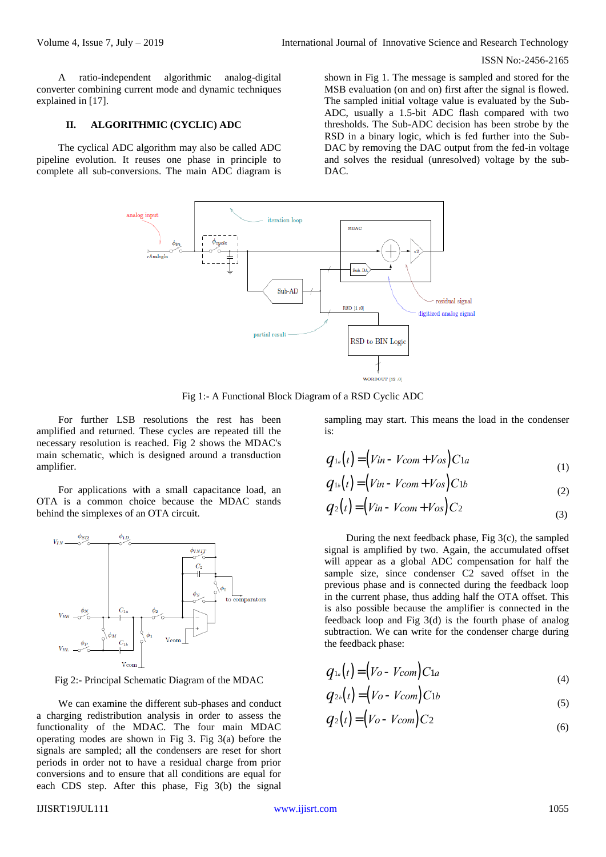## ISSN No:-2456-2165

A ratio-independent algorithmic analog-digital converter combining current mode and dynamic techniques explained in [17].

## **II. ALGORITHMIC (CYCLIC) ADC**

The cyclical ADC algorithm may also be called ADC pipeline evolution. It reuses one phase in principle to complete all sub-conversions. The main ADC diagram is

shown in Fig 1. The message is sampled and stored for the MSB evaluation (on and on) first after the signal is flowed. The sampled initial voltage value is evaluated by the Sub-ADC, usually a 1.5-bit ADC flash compared with two thresholds. The Sub-ADC decision has been strobe by the RSD in a binary logic, which is fed further into the Sub-DAC by removing the DAC output from the fed-in voltage and solves the residual (unresolved) voltage by the sub-DAC.



Fig 1:- A Functional Block Diagram of a RSD Cyclic ADC

For further LSB resolutions the rest has been amplified and returned. These cycles are repeated till the necessary resolution is reached. Fig 2 shows the MDAC's main schematic, which is designed around a transduction amplifier.

For applications with a small capacitance load, an OTA is a common choice because the MDAC stands behind the simplexes of an OTA circuit.



Fig 2:- Principal Schematic Diagram of the MDAC

We can examine the different sub-phases and conduct a charging redistribution analysis in order to assess the functionality of the MDAC. The four main MDAC operating modes are shown in Fig 3. Fig 3(a) before the signals are sampled; all the condensers are reset for short periods in order not to have a residual charge from prior conversions and to ensure that all conditions are equal for each CDS step. After this phase, Fig 3(b) the signal

sampling may start. This means the load in the condenser is:

$$
q_{1a}(t) = (Vin - Vcom + Vos)C1a \tag{1}
$$

$$
q_{1b}(t) = (Vin - Vcom + Vos)C1b
$$
\n(2)

$$
q_2(t) = (Vin - Vcom + Vos)C_2
$$
\n(3)

During the next feedback phase, Fig 3(c), the sampled signal is amplified by two. Again, the accumulated offset will appear as a global ADC compensation for half the sample size, since condenser C2 saved offset in the previous phase and is connected during the feedback loop in the current phase, thus adding half the OTA offset. This is also possible because the amplifier is connected in the feedback loop and Fig 3(d) is the fourth phase of analog subtraction. We can write for the condenser charge during the feedback phase:

$$
q_{1a}(t) = (V_o - V_{com})C_{1a}
$$
\n<sup>(4)</sup>

$$
q_{2b}(t) = (V_o - V_{com})C_{1b}
$$
\n<sup>(5)</sup>

$$
q_2(t) = (V_o - V_{com})C_2
$$
\n(6)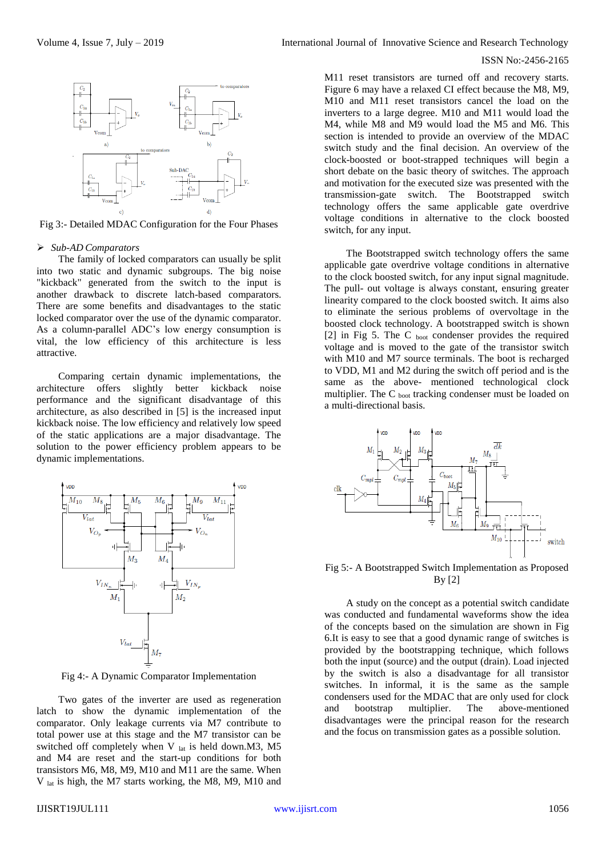

Fig 3:- Detailed MDAC Configuration for the Four Phases

#### *Sub-AD Comparators*

The family of locked comparators can usually be split into two static and dynamic subgroups. The big noise "kickback" generated from the switch to the input is another drawback to discrete latch-based comparators. There are some benefits and disadvantages to the static locked comparator over the use of the dynamic comparator. As a column-parallel ADC's low energy consumption is vital, the low efficiency of this architecture is less attractive.

Comparing certain dynamic implementations, the architecture offers slightly better kickback noise performance and the significant disadvantage of this architecture, as also described in [5] is the increased input kickback noise. The low efficiency and relatively low speed of the static applications are a major disadvantage. The solution to the power efficiency problem appears to be dynamic implementations.



Fig 4:- A Dynamic Comparator Implementation

Two gates of the inverter are used as regeneration latch to show the dynamic implementation of the comparator. Only leakage currents via M7 contribute to total power use at this stage and the M7 transistor can be switched off completely when V  $_{lat}$  is held down.M3, M5 and M4 are reset and the start-up conditions for both transistors M6, M8, M9, M10 and M11 are the same. When V lat is high, the M7 starts working, the M8, M9, M10 and

## ISSN No:-2456-2165

M11 reset transistors are turned off and recovery starts. Figure 6 may have a relaxed CI effect because the M8, M9, M10 and M11 reset transistors cancel the load on the inverters to a large degree. M10 and M11 would load the M4, while M8 and M9 would load the M5 and M6. This section is intended to provide an overview of the MDAC switch study and the final decision. An overview of the clock-boosted or boot-strapped techniques will begin a short debate on the basic theory of switches. The approach and motivation for the executed size was presented with the transmission-gate switch. The Bootstrapped switch technology offers the same applicable gate overdrive voltage conditions in alternative to the clock boosted switch, for any input.

The Bootstrapped switch technology offers the same applicable gate overdrive voltage conditions in alternative to the clock boosted switch, for any input signal magnitude. The pull- out voltage is always constant, ensuring greater linearity compared to the clock boosted switch. It aims also to eliminate the serious problems of overvoltage in the boosted clock technology. A bootstrapped switch is shown [2] in Fig 5. The C boot condenser provides the required voltage and is moved to the gate of the transistor switch with M10 and M7 source terminals. The boot is recharged to VDD, M1 and M2 during the switch off period and is the same as the above- mentioned technological clock multiplier. The C boot tracking condenser must be loaded on a multi-directional basis.



Fig 5:- A Bootstrapped Switch Implementation as Proposed By [2]

A study on the concept as a potential switch candidate was conducted and fundamental waveforms show the idea of the concepts based on the simulation are shown in Fig 6.It is easy to see that a good dynamic range of switches is provided by the bootstrapping technique, which follows both the input (source) and the output (drain). Load injected by the switch is also a disadvantage for all transistor switches. In informal, it is the same as the sample condensers used for the MDAC that are only used for clock and bootstrap multiplier. The above-mentioned disadvantages were the principal reason for the research and the focus on transmission gates as a possible solution.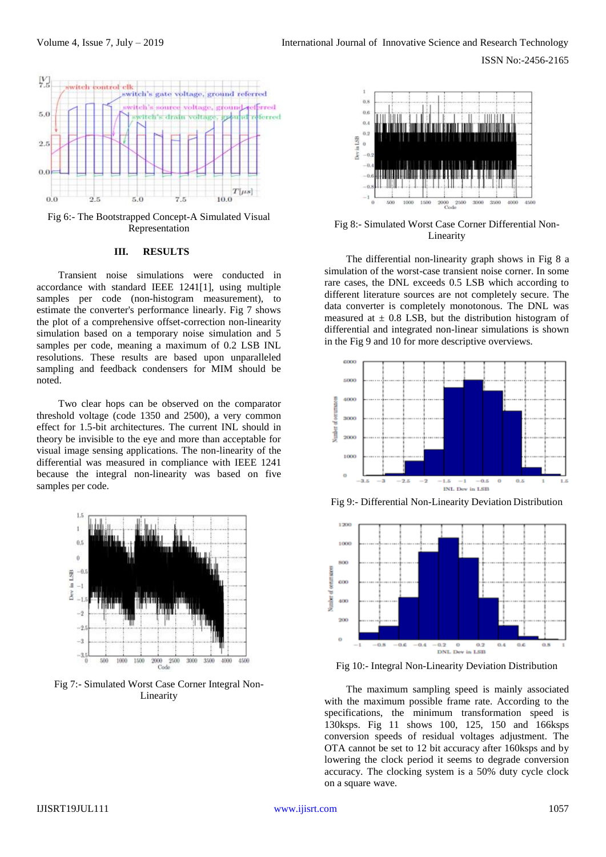ISSN No:-2456-2165



Fig 6:- The Bootstrapped Concept-A Simulated Visual Representation

# **III. RESULTS**

Transient noise simulations were conducted in accordance with standard IEEE 1241[1], using multiple samples per code (non-histogram measurement), to estimate the converter's performance linearly. Fig 7 shows the plot of a comprehensive offset-correction non-linearity simulation based on a temporary noise simulation and 5 samples per code, meaning a maximum of 0.2 LSB INL resolutions. These results are based upon unparalleled sampling and feedback condensers for MIM should be noted.

Two clear hops can be observed on the comparator threshold voltage (code 1350 and 2500), a very common effect for 1.5-bit architectures. The current INL should in theory be invisible to the eye and more than acceptable for visual image sensing applications. The non-linearity of the differential was measured in compliance with IEEE 1241 because the integral non-linearity was based on five samples per code.



Fig 7:- Simulated Worst Case Corner Integral Non-Linearity



Fig 8:- Simulated Worst Case Corner Differential Non-Linearity

The differential non-linearity graph shows in Fig 8 a simulation of the worst-case transient noise corner. In some rare cases, the DNL exceeds 0.5 LSB which according to different literature sources are not completely secure. The data converter is completely monotonous. The DNL was measured at  $\pm$  0.8 LSB, but the distribution histogram of differential and integrated non-linear simulations is shown in the Fig 9 and 10 for more descriptive overviews.



Fig 9:- Differential Non-Linearity Deviation Distribution



Fig 10:- Integral Non-Linearity Deviation Distribution

The maximum sampling speed is mainly associated with the maximum possible frame rate. According to the specifications, the minimum transformation speed is 130ksps. Fig 11 shows 100, 125, 150 and 166ksps conversion speeds of residual voltages adjustment. The OTA cannot be set to 12 bit accuracy after 160ksps and by lowering the clock period it seems to degrade conversion accuracy. The clocking system is a 50% duty cycle clock on a square wave.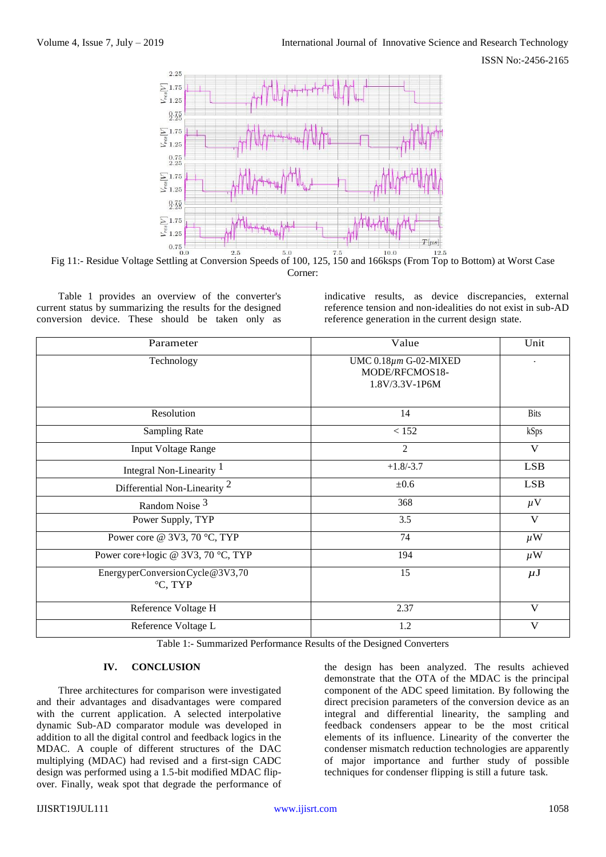

Fig 11:- Residue Voltage Settling at Conversion Speeds of 100, 125, 150 and 166ksps (From Top to Bottom) at Worst Case Corner:

Table 1 provides an overview of the converter's current status by summarizing the results for the designed conversion device. These should be taken only as indicative results, as device discrepancies, external reference tension and non-idealities do not exist in sub-AD reference generation in the current design state.

| Parameter                                  | Value                                                           | Unit        |
|--------------------------------------------|-----------------------------------------------------------------|-------------|
| Technology                                 | UMC $0.18 \mu m$ G-02-MIXED<br>MODE/RFCMOS18-<br>1.8V/3.3V-1P6M |             |
| Resolution                                 | 14                                                              | <b>Bits</b> |
| <b>Sampling Rate</b>                       | < 152                                                           | kSps        |
| <b>Input Voltage Range</b>                 | $\overline{2}$                                                  | V           |
| Integral Non-Linearity <sup>1</sup>        | $+1.8/-3.7$                                                     | <b>LSB</b>  |
| Differential Non-Linearity <sup>2</sup>    | ±0.6                                                            | <b>LSB</b>  |
| Random Noise <sup>3</sup>                  | 368                                                             | $\mu$ V     |
| Power Supply, TYP                          | 3.5                                                             | V           |
| Power core @ 3V3, 70 °C, TYP               | 74                                                              | $\mu$ W     |
| Power core+logic @ 3V3, 70 °C, TYP         | 194                                                             | $\mu$ W     |
| EnergyperConversionCycle@3V3,70<br>°C, TYP | 15                                                              | $\mu$ J     |
| Reference Voltage H                        | 2.37                                                            | V           |
| Reference Voltage L                        | 1.2                                                             | V           |

Table 1:- Summarized Performance Results of the Designed Converters

## **IV. CONCLUSION**

Three architectures for comparison were investigated and their advantages and disadvantages were compared with the current application. A selected interpolative dynamic Sub-AD comparator module was developed in addition to all the digital control and feedback logics in the MDAC. A couple of different structures of the DAC multiplying (MDAC) had revised and a first-sign CADC design was performed using a 1.5-bit modified MDAC flipover. Finally, weak spot that degrade the performance of

the design has been analyzed. The results achieved demonstrate that the OTA of the MDAC is the principal component of the ADC speed limitation. By following the direct precision parameters of the conversion device as an integral and differential linearity, the sampling and feedback condensers appear to be the most critical elements of its influence. Linearity of the converter the condenser mismatch reduction technologies are apparently of major importance and further study of possible techniques for condenser flipping is still a future task.